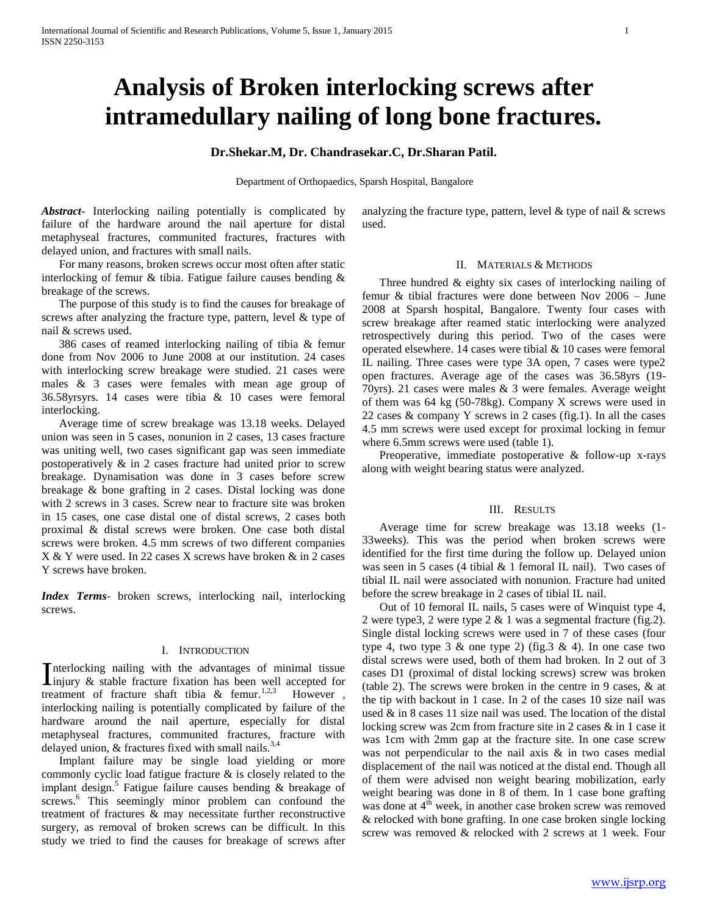# **Analysis of Broken interlocking screws after intramedullary nailing of long bone fractures.**

**Dr.Shekar.M, Dr. Chandrasekar.C, Dr.Sharan Patil.**

Department of Orthopaedics, Sparsh Hospital, Bangalore

*Abstract***-** Interlocking nailing potentially is complicated by failure of the hardware around the nail aperture for distal metaphyseal fractures, communited fractures, fractures with delayed union, and fractures with small nails.

 For many reasons, broken screws occur most often after static interlocking of femur & tibia. Fatigue failure causes bending & breakage of the screws.

 The purpose of this study is to find the causes for breakage of screws after analyzing the fracture type, pattern, level & type of nail & screws used.

 386 cases of reamed interlocking nailing of tibia & femur done from Nov 2006 to June 2008 at our institution. 24 cases with interlocking screw breakage were studied. 21 cases were males & 3 cases were females with mean age group of 36.58yrsyrs. 14 cases were tibia & 10 cases were femoral interlocking.

 Average time of screw breakage was 13.18 weeks. Delayed union was seen in 5 cases, nonunion in 2 cases, 13 cases fracture was uniting well, two cases significant gap was seen immediate postoperatively  $\&$  in 2 cases fracture had united prior to screw breakage. Dynamisation was done in 3 cases before screw breakage & bone grafting in 2 cases. Distal locking was done with 2 screws in 3 cases. Screw near to fracture site was broken in 15 cases, one case distal one of distal screws, 2 cases both proximal & distal screws were broken. One case both distal screws were broken. 4.5 mm screws of two different companies X & Y were used. In 22 cases X screws have broken & in 2 cases Y screws have broken.

*Index Terms*- broken screws, interlocking nail, interlocking screws.

## I. INTRODUCTION

nterlocking nailing with the advantages of minimal tissue Interlocking nailing with the advantages of minimal tissue<br>injury  $\&$  stable fracture fixation has been well accepted for treatment of fracture shaft tibia & femur.<sup>1,2,3</sup> However, interlocking nailing is potentially complicated by failure of the hardware around the nail aperture, especially for distal metaphyseal fractures, communited fractures, fracture with delayed union,  $&$  fractures fixed with small nails.<sup>3,4</sup>

 Implant failure may be single load yielding or more commonly cyclic load fatigue fracture & is closely related to the implant design.<sup>5</sup> Fatigue failure causes bending  $\&$  breakage of screws.<sup>6</sup> This seemingly minor problem can confound the treatment of fractures & may necessitate further reconstructive surgery, as removal of broken screws can be difficult. In this study we tried to find the causes for breakage of screws after

analyzing the fracture type, pattern, level  $\&$  type of nail  $\&$  screws used.

## II. MATERIALS & METHODS

 Three hundred & eighty six cases of interlocking nailing of femur & tibial fractures were done between Nov 2006 – June 2008 at Sparsh hospital, Bangalore. Twenty four cases with screw breakage after reamed static interlocking were analyzed retrospectively during this period. Two of the cases were operated elsewhere. 14 cases were tibial & 10 cases were femoral IL nailing. Three cases were type 3A open, 7 cases were type2 open fractures. Average age of the cases was 36.58yrs (19- 70yrs). 21 cases were males & 3 were females. Average weight of them was 64 kg (50-78kg). Company X screws were used in 22 cases & company Y screws in 2 cases (fig.1). In all the cases 4.5 mm screws were used except for proximal locking in femur where 6.5mm screws were used (table 1).

 Preoperative, immediate postoperative & follow-up x-rays along with weight bearing status were analyzed.

# III. RESULTS

 Average time for screw breakage was 13.18 weeks (1- 33weeks). This was the period when broken screws were identified for the first time during the follow up. Delayed union was seen in 5 cases (4 tibial  $&$  1 femoral IL nail). Two cases of tibial IL nail were associated with nonunion. Fracture had united before the screw breakage in 2 cases of tibial IL nail.

 Out of 10 femoral IL nails, 5 cases were of Winquist type 4, 2 were type3, 2 were type 2 & 1 was a segmental fracture (fig.2). Single distal locking screws were used in 7 of these cases (four type 4, two type  $3 \&$  one type 2) (fig.  $3 \& 4$ ). In one case two distal screws were used, both of them had broken. In 2 out of 3 cases D1 (proximal of distal locking screws) screw was broken (table 2). The screws were broken in the centre in 9 cases, & at the tip with backout in 1 case. In 2 of the cases 10 size nail was used  $\&$  in 8 cases 11 size nail was used. The location of the distal locking screw was 2cm from fracture site in 2 cases & in 1 case it was 1cm with 2mm gap at the fracture site. In one case screw was not perpendicular to the nail axis & in two cases medial displacement of the nail was noticed at the distal end. Though all of them were advised non weight bearing mobilization, early weight bearing was done in 8 of them. In 1 case bone grafting was done at  $4<sup>th</sup>$  week, in another case broken screw was removed & relocked with bone grafting. In one case broken single locking screw was removed & relocked with 2 screws at 1 week. Four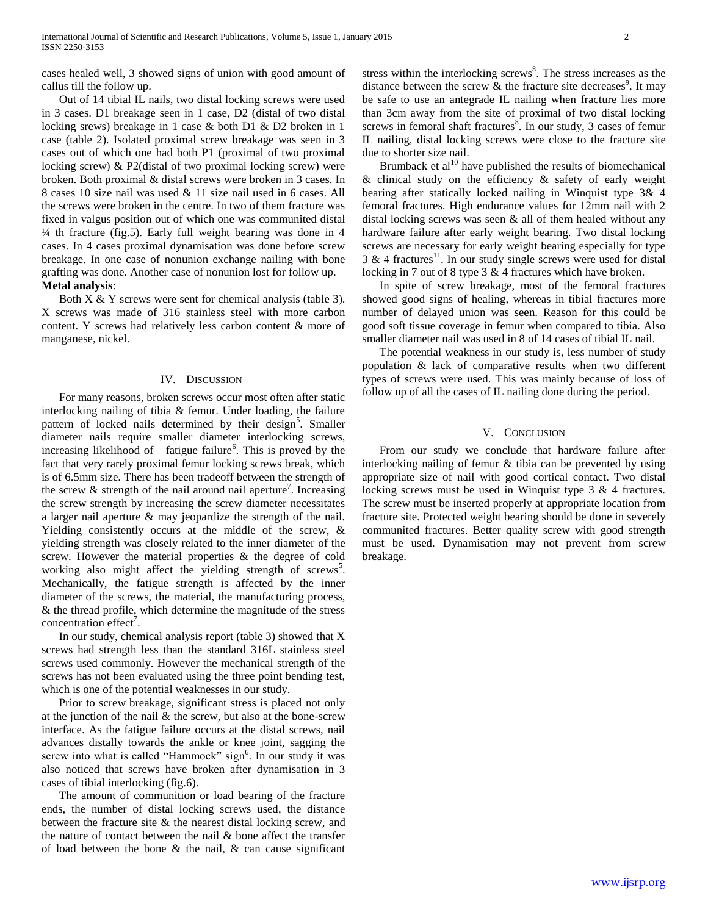cases healed well, 3 showed signs of union with good amount of callus till the follow up.

 Out of 14 tibial IL nails, two distal locking screws were used in 3 cases. D1 breakage seen in 1 case, D2 (distal of two distal locking srews) breakage in 1 case & both D1 & D2 broken in 1 case (table 2). Isolated proximal screw breakage was seen in 3 cases out of which one had both P1 (proximal of two proximal locking screw) & P2(distal of two proximal locking screw) were broken. Both proximal & distal screws were broken in 3 cases. In 8 cases 10 size nail was used & 11 size nail used in 6 cases. All the screws were broken in the centre. In two of them fracture was fixed in valgus position out of which one was communited distal ¼ th fracture (fig.5). Early full weight bearing was done in 4 cases. In 4 cases proximal dynamisation was done before screw breakage. In one case of nonunion exchange nailing with bone grafting was done. Another case of nonunion lost for follow up. **Metal analysis**:

 Both X & Y screws were sent for chemical analysis (table 3). X screws was made of 316 stainless steel with more carbon content. Y screws had relatively less carbon content & more of manganese, nickel.

## IV. DISCUSSION

 For many reasons, broken screws occur most often after static interlocking nailing of tibia & femur. Under loading, the failure pattern of locked nails determined by their design<sup>5</sup>. Smaller diameter nails require smaller diameter interlocking screws, increasing likelihood of fatigue failure<sup>6</sup>. This is proved by the fact that very rarely proximal femur locking screws break, which is of 6.5mm size. There has been tradeoff between the strength of the screw  $\&$  strength of the nail around nail aperture<sup>7</sup>. Increasing the screw strength by increasing the screw diameter necessitates a larger nail aperture & may jeopardize the strength of the nail. Yielding consistently occurs at the middle of the screw, & yielding strength was closely related to the inner diameter of the screw. However the material properties & the degree of cold working also might affect the yielding strength of screws<sup>5</sup>. Mechanically, the fatigue strength is affected by the inner diameter of the screws, the material, the manufacturing process, & the thread profile, which determine the magnitude of the stress concentration effect<sup>7</sup>.

 In our study, chemical analysis report (table 3) showed that X screws had strength less than the standard 316L stainless steel screws used commonly. However the mechanical strength of the screws has not been evaluated using the three point bending test, which is one of the potential weaknesses in our study.

 Prior to screw breakage, significant stress is placed not only at the junction of the nail  $\&$  the screw, but also at the bone-screw interface. As the fatigue failure occurs at the distal screws, nail advances distally towards the ankle or knee joint, sagging the screw into what is called "Hammock" sign<sup>6</sup>. In our study it was also noticed that screws have broken after dynamisation in 3 cases of tibial interlocking (fig.6).

 The amount of communition or load bearing of the fracture ends, the number of distal locking screws used, the distance between the fracture site & the nearest distal locking screw, and the nature of contact between the nail & bone affect the transfer of load between the bone  $\&$  the nail,  $\&$  can cause significant

stress within the interlocking screws<sup>8</sup>. The stress increases as the distance between the screw  $\&$  the fracture site decreases<sup>9</sup>. It may be safe to use an antegrade IL nailing when fracture lies more than 3cm away from the site of proximal of two distal locking screws in femoral shaft fractures<sup>8</sup>. In our study, 3 cases of femur IL nailing, distal locking screws were close to the fracture site due to shorter size nail.

Brumback et al<sup>10</sup> have published the results of biomechanical  $&$  clinical study on the efficiency  $&$  safety of early weight bearing after statically locked nailing in Winquist type 3& 4 femoral fractures. High endurance values for 12mm nail with 2 distal locking screws was seen & all of them healed without any hardware failure after early weight bearing. Two distal locking screws are necessary for early weight bearing especially for type  $3 \& 4$  fractures<sup>11</sup>. In our study single screws were used for distal locking in 7 out of 8 type 3 & 4 fractures which have broken.

 In spite of screw breakage, most of the femoral fractures showed good signs of healing, whereas in tibial fractures more number of delayed union was seen. Reason for this could be good soft tissue coverage in femur when compared to tibia. Also smaller diameter nail was used in 8 of 14 cases of tibial IL nail.

 The potential weakness in our study is, less number of study population & lack of comparative results when two different types of screws were used. This was mainly because of loss of follow up of all the cases of IL nailing done during the period.

## V. CONCLUSION

 From our study we conclude that hardware failure after interlocking nailing of femur & tibia can be prevented by using appropriate size of nail with good cortical contact. Two distal locking screws must be used in Winquist type 3 & 4 fractures. The screw must be inserted properly at appropriate location from fracture site. Protected weight bearing should be done in severely communited fractures. Better quality screw with good strength must be used. Dynamisation may not prevent from screw breakage.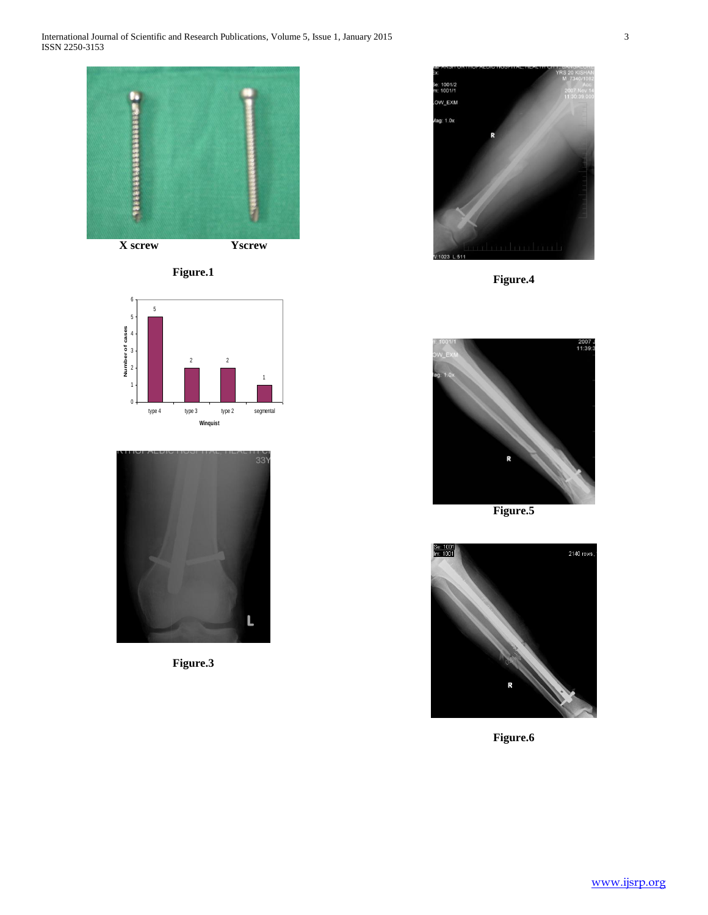







**Figure.3**



**Figure.4**



**Figure.5**



**Figure.6**